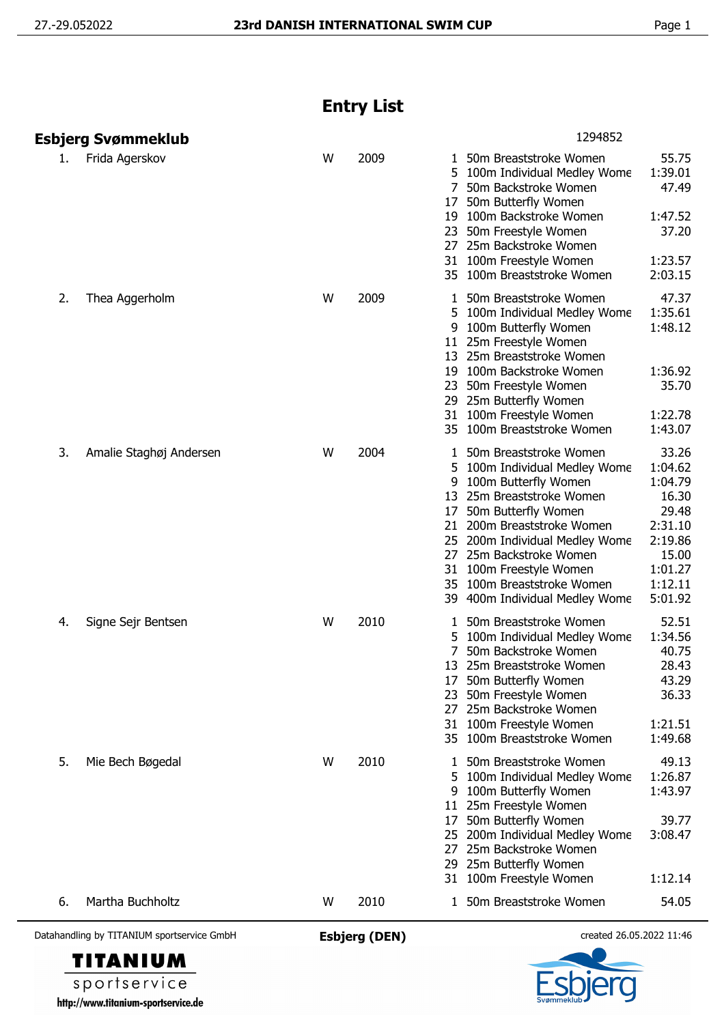## **Entry List**

|    | Esbjerg Svømmeklub      |   |      | 1294852                                                                                                                                                                                                                                                                                                                                                                                                                                                              |
|----|-------------------------|---|------|----------------------------------------------------------------------------------------------------------------------------------------------------------------------------------------------------------------------------------------------------------------------------------------------------------------------------------------------------------------------------------------------------------------------------------------------------------------------|
| 1. | Frida Agerskov          | W | 2009 | 55.75<br>1 50m Breaststroke Women<br>1:39.01<br>5 100m Individual Medley Wome<br>47.49<br>$7^{\circ}$<br>50m Backstroke Women<br>50m Butterfly Women<br>17<br>1:47.52<br>100m Backstroke Women<br>19<br>37.20<br>50m Freestyle Women<br>23<br>27 25m Backstroke Women<br>1:23.57<br>31 100m Freestyle Women<br>35 100m Breaststroke Women<br>2:03.15                                                                                                                 |
| 2. | Thea Aggerholm          | W | 2009 | 47.37<br>50m Breaststroke Women<br>1<br>1:35.61<br>5 100m Individual Medley Wome<br>1:48.12<br>100m Butterfly Women<br>9<br>25m Freestyle Women<br>11<br>25m Breaststroke Women<br>13<br>100m Backstroke Women<br>1:36.92<br>19<br>35.70<br>50m Freestyle Women<br>23<br>29 25m Butterfly Women<br>31 100m Freestyle Women<br>1:22.78<br>35 100m Breaststroke Women<br>1:43.07                                                                                       |
| 3. | Amalie Staghøj Andersen | W | 2004 | 33.26<br>50m Breaststroke Women<br>1<br>1:04.62<br>100m Individual Medley Wome<br>1:04.79<br>100m Butterfly Women<br>9<br>25m Breaststroke Women<br>16.30<br>13<br>29.48<br>50m Butterfly Women<br>17<br>2:31.10<br>200m Breaststroke Women<br>21<br>2:19.86<br>200m Individual Medley Wome<br>25m Backstroke Women<br>15.00<br>27<br>1:01.27<br>100m Freestyle Women<br>31<br>1:12.11<br>100m Breaststroke Women<br>35<br>5:01.92<br>39 400m Individual Medley Wome |
| 4. | Signe Sejr Bentsen      | W | 2010 | 52.51<br>50m Breaststroke Women<br>1<br>1:34.56<br>100m Individual Medley Wome<br>5<br>50m Backstroke Women<br>40.75<br>28.43<br>13 25m Breaststroke Women<br>50m Butterfly Women<br>43.29<br>36.33<br>50m Freestyle Women<br>23<br>25m Backstroke Women<br>27<br>1:21.51<br>31 100m Freestyle Women<br>35 100m Breaststroke Women<br>1:49.68                                                                                                                        |
| 5. | Mie Bech Bøgedal        | W | 2010 | 49.13<br>50m Breaststroke Women<br>1<br>1:26.87<br>5<br>100m Individual Medley Wome<br>1:43.97<br>100m Butterfly Women<br>9<br>25m Freestyle Women<br>11.<br>39.77<br>50m Butterfly Women<br>17<br>3:08.47<br>200m Individual Medley Wome<br>25<br>25m Backstroke Women<br>27<br>29 25m Butterfly Women<br>31 100m Freestyle Women<br>1:12.14                                                                                                                        |
| 6. | Martha Buchholtz        | W | 2010 | 50m Breaststroke Women<br>54.05<br>1                                                                                                                                                                                                                                                                                                                                                                                                                                 |





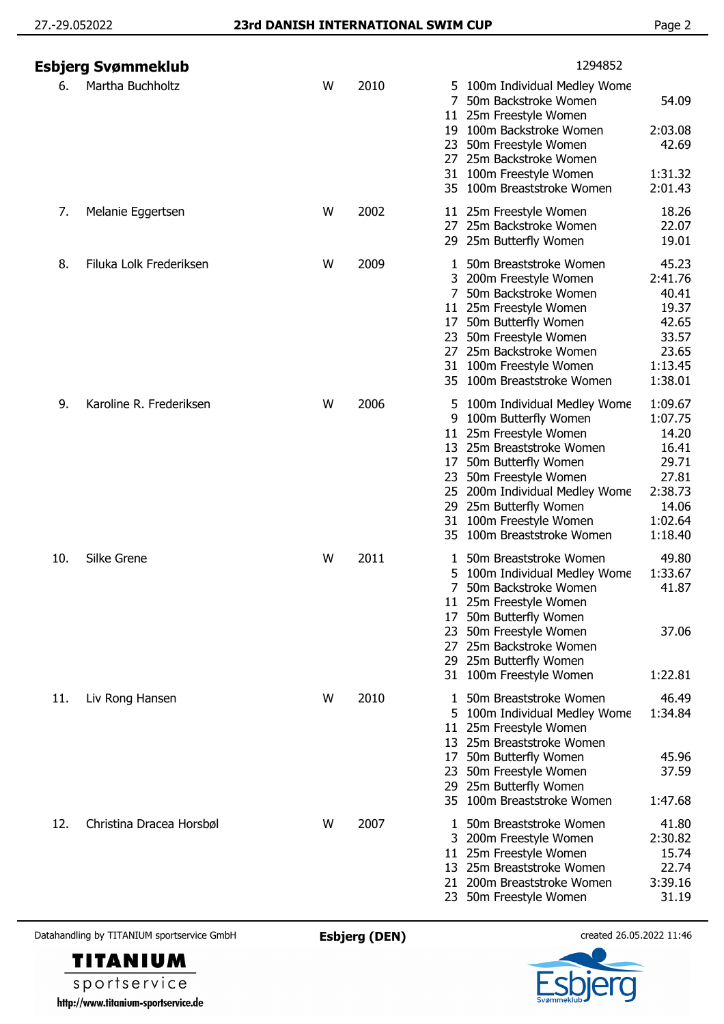|     | Esbjerg Svømmeklub       |   |      | 1294852                                                                                                                                                                                                                                                                                                                                                                                                             |
|-----|--------------------------|---|------|---------------------------------------------------------------------------------------------------------------------------------------------------------------------------------------------------------------------------------------------------------------------------------------------------------------------------------------------------------------------------------------------------------------------|
| 6.  | Martha Buchholtz         | W | 2010 | 5 100m Individual Medley Wome<br>7<br>50m Backstroke Women<br>54.09<br>25m Freestyle Women<br>11<br>2:03.08<br>100m Backstroke Women<br>19<br>42.69<br>50m Freestyle Women<br>23<br>25m Backstroke Women<br>27<br>100m Freestyle Women<br>1:31.32<br>31<br>35 100m Breaststroke Women<br>2:01.43                                                                                                                    |
| 7.  | Melanie Eggertsen        | W | 2002 | 18.26<br>11 25m Freestyle Women<br>22.07<br>27<br>25m Backstroke Women<br>19.01<br>25m Butterfly Women<br>29                                                                                                                                                                                                                                                                                                        |
| 8.  | Filuka Lolk Frederiksen  | W | 2009 | 45.23<br>50m Breaststroke Women<br>2:41.76<br>200m Freestyle Women<br>50m Backstroke Women<br>40.41<br>25m Freestyle Women<br>19.37<br>11<br>42.65<br>50m Butterfly Women<br>17<br>50m Freestyle Women<br>33.57<br>23<br>25m Backstroke Women<br>23.65<br>27<br>100m Freestyle Women<br>1:13.45<br>31<br>1:38.01<br>100m Breaststroke Women<br>35                                                                   |
| 9.  | Karoline R. Frederiksen  | W | 2006 | 1:09.67<br>100m Individual Medley Wome<br>5<br>100m Butterfly Women<br>1:07.75<br>9<br>25m Freestyle Women<br>14.20<br>11<br>13 25m Breaststroke Women<br>16.41<br>29.71<br>50m Butterfly Women<br>17<br>27.81<br>23<br>50m Freestyle Women<br>2:38.73<br>25 200m Individual Medley Wome<br>25m Butterfly Women<br>14.06<br>29<br>100m Freestyle Women<br>1:02.64<br>31<br>100m Breaststroke Women<br>1:18.40<br>35 |
| 10. | Silke Grene              | W | 2011 | 49.80<br>50m Breaststroke Women<br>1:33.67<br>100m Individual Medley Wome<br>5<br>50m Backstroke Women<br>41.87<br>11 25m Freestyle Women<br>50m Butterfly Women<br>1/<br>50m Freestyle Women<br>37.06<br>23<br>25m Backstroke Women<br>27<br>29 25m Butterfly Women<br>100m Freestyle Women<br>1:22.81<br>31                                                                                                       |
| 11. | Liv Rong Hansen          | W | 2010 | 46.49<br>50m Breaststroke Women<br>1<br>1:34.84<br>100m Individual Medley Wome<br>5<br>25m Freestyle Women<br>11<br>13 25m Breaststroke Women<br>50m Butterfly Women<br>45.96<br>17<br>37.59<br>50m Freestyle Women<br>23<br>29 25m Butterfly Women<br>100m Breaststroke Women<br>1:47.68<br>35                                                                                                                     |
| 12. | Christina Dracea Horsbøl | W | 2007 | 41.80<br>50m Breaststroke Women<br>1<br>2:30.82<br>200m Freestyle Women<br>3.<br>25m Freestyle Women<br>15.74<br>11<br>25m Breaststroke Women<br>22.74<br>13<br>3:39.16<br>200m Breaststroke Women<br>21<br>31.19<br>23 50m Freestyle Women                                                                                                                                                                         |



**TITANIUM** sportservice http://www.titanium-sportservice.de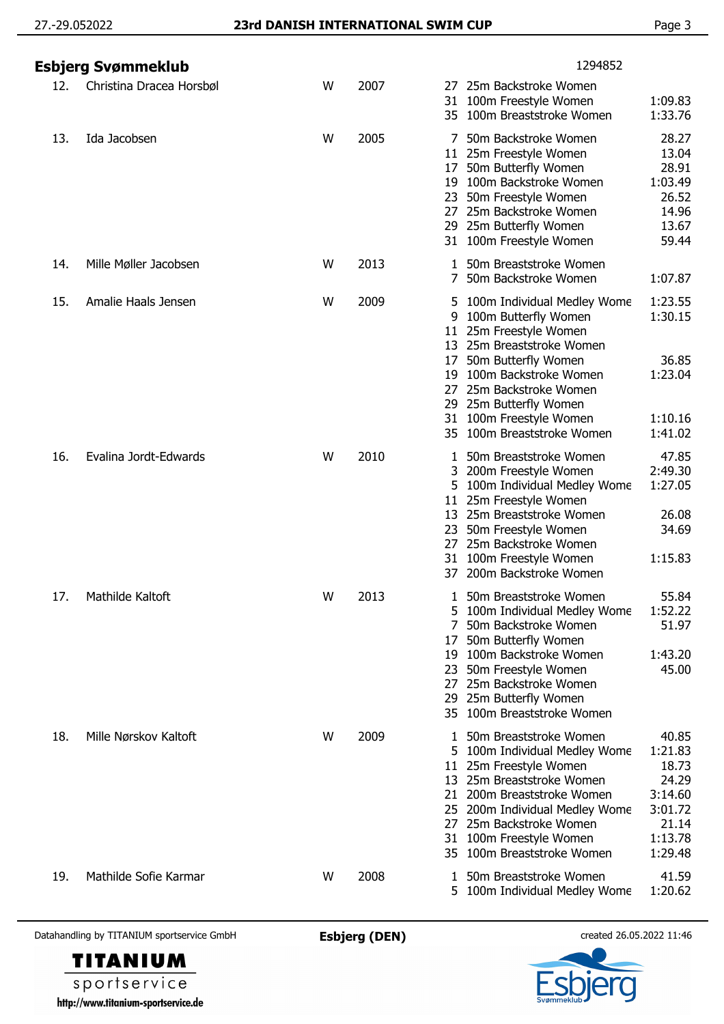|     | Esbjerg Svømmeklub       |   |      | 1294852                                                                                                                                                                                                                                                                                                                                                       |
|-----|--------------------------|---|------|---------------------------------------------------------------------------------------------------------------------------------------------------------------------------------------------------------------------------------------------------------------------------------------------------------------------------------------------------------------|
| 12. | Christina Dracea Horsbøl | W | 2007 | 25m Backstroke Women<br>27<br>31 100m Freestyle Women<br>1:09.83<br>35 100m Breaststroke Women<br>1:33.76                                                                                                                                                                                                                                                     |
| 13. | Ida Jacobsen             | W | 2005 | 28.27<br>50m Backstroke Women<br>13.04<br>11 25m Freestyle Women<br>28.91<br>50m Butterfly Women<br>17<br>19 100m Backstroke Women<br>1:03.49<br>26.52<br>23 50m Freestyle Women<br>27 25m Backstroke Women<br>14.96<br>29 25m Butterfly Women<br>13.67<br>31 100m Freestyle Women<br>59.44                                                                   |
| 14. | Mille Møller Jacobsen    | W | 2013 | 50m Breaststroke Women<br>50m Backstroke Women<br>7<br>1:07.87                                                                                                                                                                                                                                                                                                |
| 15. | Amalie Haals Jensen      | W | 2009 | 1:23.55<br>5 100m Individual Medley Wome<br>100m Butterfly Women<br>1:30.15<br>9<br>11 25m Freestyle Women<br>25m Breaststroke Women<br>13<br>50m Butterfly Women<br>36.85<br>17<br>100m Backstroke Women<br>1:23.04<br>19<br>25m Backstroke Women<br>27<br>29 25m Butterfly Women                                                                            |
|     |                          |   |      | 31 100m Freestyle Women<br>1:10.16<br>35 100m Breaststroke Women<br>1:41.02                                                                                                                                                                                                                                                                                   |
| 16. | Evalina Jordt-Edwards    | W | 2010 | 47.85<br>1 50m Breaststroke Women<br>2:49.30<br>200m Freestyle Women<br>3<br>1:27.05<br>5 100m Individual Medley Wome<br>11 25m Freestyle Women<br>13 25m Breaststroke Women<br>26.08<br>23 50m Freestyle Women<br>34.69<br>27 25m Backstroke Women<br>31 100m Freestyle Women<br>1:15.83<br>37 200m Backstroke Women                                         |
| 17. | Mathilde Kaltoft         | W | 2013 | 55.84<br>50m Breaststroke Women<br>1<br>1:52.22<br>100m Individual Medley Wome<br>5<br>51.97<br>50m Backstroke Women<br>7<br>50m Butterfly Women<br>17<br>1:43.20<br>19 100m Backstroke Women<br>45.00<br>23 50m Freestyle Women<br>25m Backstroke Women<br>27<br>29 25m Butterfly Women<br>35 100m Breaststroke Women                                        |
| 18. | Mille Nørskov Kaltoft    | W | 2009 | 50m Breaststroke Women<br>40.85<br>1:21.83<br>5 100m Individual Medley Wome<br>18.73<br>11 25m Freestyle Women<br>13 25m Breaststroke Women<br>24.29<br>21 200m Breaststroke Women<br>3:14.60<br>3:01.72<br>25 200m Individual Medley Wome<br>21.14<br>27 25m Backstroke Women<br>1:13.78<br>31 100m Freestyle Women<br>35 100m Breaststroke Women<br>1:29.48 |
| 19. | Mathilde Sofie Karmar    | W | 2008 | 50m Breaststroke Women<br>41.59<br>1:20.62<br>5 100m Individual Medley Wome                                                                                                                                                                                                                                                                                   |



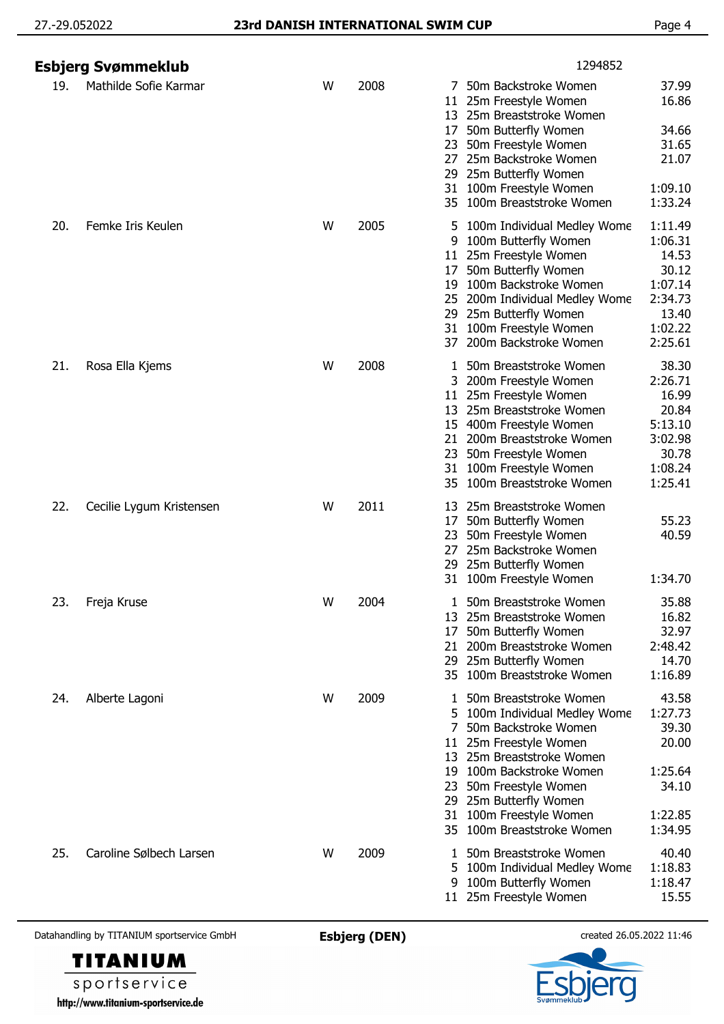|     | Esbjerg Svømmeklub       |   |      | 1294852                                                                                                                                                                                                                                                                                                                                                                      |
|-----|--------------------------|---|------|------------------------------------------------------------------------------------------------------------------------------------------------------------------------------------------------------------------------------------------------------------------------------------------------------------------------------------------------------------------------------|
| 19. | Mathilde Sofie Karmar    | W | 2008 | 7 50m Backstroke Women<br>37.99<br>11 25m Freestyle Women<br>16.86<br>13 25m Breaststroke Women<br>50m Butterfly Women<br>34.66<br>17<br>31.65<br>50m Freestyle Women<br>23<br>25m Backstroke Women<br>21.07<br>27<br>25m Butterfly Women<br>29<br>31 100m Freestyle Women<br>1:09.10<br>1:33.24<br>35 100m Breaststroke Women                                               |
| 20. | Femke Iris Keulen        | W | 2005 | 1:11.49<br>5 100m Individual Medley Wome<br>1:06.31<br>9 100m Butterfly Women<br>14.53<br>11 25m Freestyle Women<br>30.12<br>50m Butterfly Women<br>17<br>1:07.14<br>19 100m Backstroke Women<br>200m Individual Medley Wome<br>2:34.73<br>25<br>13.40<br>25m Butterfly Women<br>29<br>31 100m Freestyle Women<br>1:02.22<br>2:25.61<br>200m Backstroke Women<br>37          |
| 21. | Rosa Ella Kjems          | W | 2008 | 38.30<br>1 50m Breaststroke Women<br>2:26.71<br>3 200m Freestyle Women<br>16.99<br>11 25m Freestyle Women<br>20.84<br>13 25m Breaststroke Women<br>5:13.10<br>15 400m Freestyle Women<br>3:02.98<br>21 200m Breaststroke Women<br>30.78<br>23 50m Freestyle Women<br>1:08.24<br>31 100m Freestyle Women<br>1:25.41<br>35 100m Breaststroke Women                             |
| 22. | Cecilie Lygum Kristensen | W | 2011 | 25m Breaststroke Women<br>13<br>55.23<br>50m Butterfly Women<br>17<br>50m Freestyle Women<br>40.59<br>23<br>25m Backstroke Women<br>27<br>29 25m Butterfly Women<br>31 100m Freestyle Women<br>1:34.70                                                                                                                                                                       |
| 23. | Freja Kruse              | W | 2004 | 35.88<br>1 50m Breaststroke Women<br>16.82<br>13 25m Breaststroke Women<br>32.97<br>50m Butterfly Women<br>17<br>200m Breaststroke Women<br>2:48.42<br>21<br>29 25m Butterfly Women<br>14.70<br>35 100m Breaststroke Women<br>1:16.89                                                                                                                                        |
| 24. | Alberte Lagoni           | W | 2009 | 43.58<br>50m Breaststroke Women<br>1<br>1:27.73<br>5 100m Individual Medley Wome<br>39.30<br>50m Backstroke Women<br>7<br>11 25m Freestyle Women<br>20.00<br>13 25m Breaststroke Women<br>19 100m Backstroke Women<br>1:25.64<br>34.10<br>50m Freestyle Women<br>23<br>29 25m Butterfly Women<br>31 100m Freestyle Women<br>1:22.85<br>35 100m Breaststroke Women<br>1:34.95 |
| 25. | Caroline Sølbech Larsen  | W | 2009 | 40.40<br>1 50m Breaststroke Women<br>1:18.83<br>5 100m Individual Medley Wome<br>100m Butterfly Women<br>1:18.47<br>9<br>15.55<br>11 25m Freestyle Women                                                                                                                                                                                                                     |



sportservice http://www.titanium-sportservice.de

**TITANIUM**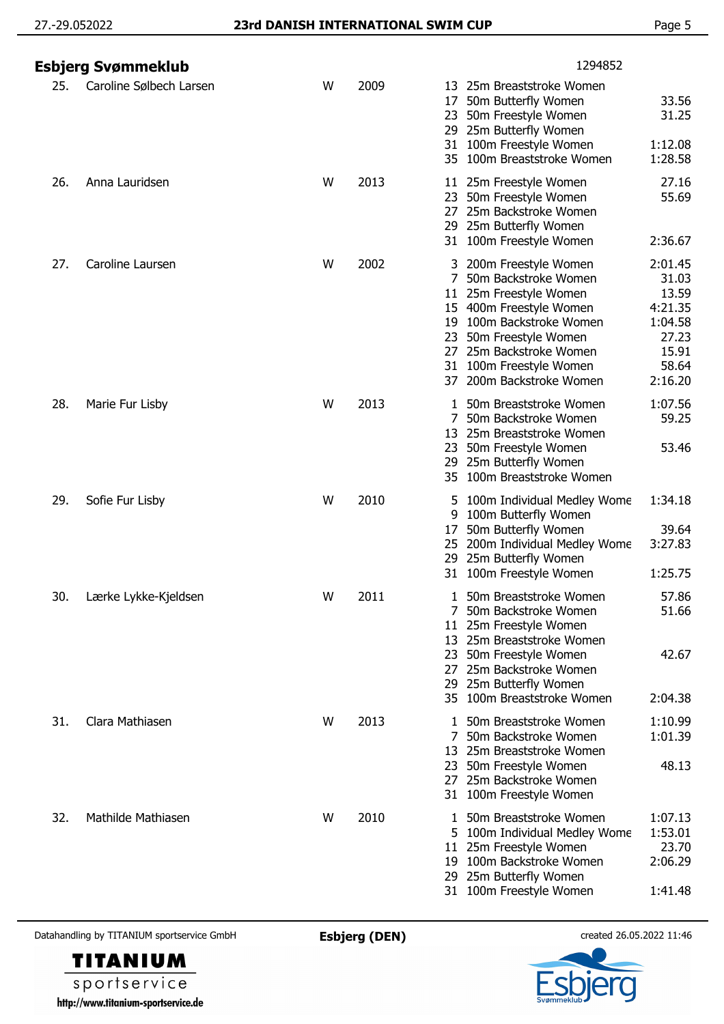|     | Esbjerg Svømmeklub      |   |      | 1294852                                                                                                                                                                                                                                              |                                                                                       |
|-----|-------------------------|---|------|------------------------------------------------------------------------------------------------------------------------------------------------------------------------------------------------------------------------------------------------------|---------------------------------------------------------------------------------------|
| 25. | Caroline Sølbech Larsen | W | 2009 | 25m Breaststroke Women<br>13<br>50m Butterfly Women<br>17<br>50m Freestyle Women<br>23.<br>29 25m Butterfly Women<br>31 100m Freestyle Women<br>35 100m Breaststroke Women                                                                           | 33.56<br>31.25<br>1:12.08<br>1:28.58                                                  |
| 26. | Anna Lauridsen          | W | 2013 | 11 25m Freestyle Women<br>50m Freestyle Women<br>23<br>25m Backstroke Women<br>27<br>25m Butterfly Women<br>29.<br>31 100m Freestyle Women                                                                                                           | 27.16<br>55.69<br>2:36.67                                                             |
| 27. | Caroline Laursen        | W | 2002 | 200m Freestyle Women<br>3.<br>7<br>50m Backstroke Women<br>11 25m Freestyle Women<br>15 400m Freestyle Women<br>19 100m Backstroke Women<br>23 50m Freestyle Women<br>27 25m Backstroke Women<br>31 100m Freestyle Women<br>37 200m Backstroke Women | 2:01.45<br>31.03<br>13.59<br>4:21.35<br>1:04.58<br>27.23<br>15.91<br>58.64<br>2:16.20 |
| 28. | Marie Fur Lisby         | W | 2013 | 50m Breaststroke Women<br>$\mathbf{1}$<br>7<br>50m Backstroke Women<br>25m Breaststroke Women<br>13<br>50m Freestyle Women<br>23<br>29 25m Butterfly Women<br>100m Breaststroke Women<br>35                                                          | 1:07.56<br>59.25<br>53.46                                                             |
| 29. | Sofie Fur Lisby         | W | 2010 | 5 100m Individual Medley Wome<br>100m Butterfly Women<br>9<br>50m Butterfly Women<br>17<br>25 200m Individual Medley Wome<br>29 25m Butterfly Women<br>31 100m Freestyle Women                                                                       | 1:34.18<br>39.64<br>3:27.83<br>1:25.75                                                |
| 30. | Lærke Lykke-Kjeldsen    | W | 2011 | 50m Breaststroke Women<br>50m Backstroke Women<br>11 25m Freestyle Women<br>13 25m Breaststroke Women<br>23 50m Freestyle Women<br>25m Backstroke Women<br>27.<br>29 25m Butterfly Women<br>35 100m Breaststroke Women                               | 57.86<br>51.66<br>42.67<br>2:04.38                                                    |
| 31. | Clara Mathiasen         | W | 2013 | 50m Breaststroke Women<br>50m Backstroke Women<br>7<br>25m Breaststroke Women<br>13<br>23 50m Freestyle Women<br>27 25m Backstroke Women<br>31 100m Freestyle Women                                                                                  | 1:10.99<br>1:01.39<br>48.13                                                           |
| 32. | Mathilde Mathiasen      | W | 2010 | 50m Breaststroke Women<br>5 100m Individual Medley Wome<br>11 25m Freestyle Women<br>19 100m Backstroke Women<br>29 25m Butterfly Women<br>31 100m Freestyle Women                                                                                   | 1:07.13<br>1:53.01<br>23.70<br>2:06.29<br>1:41.48                                     |

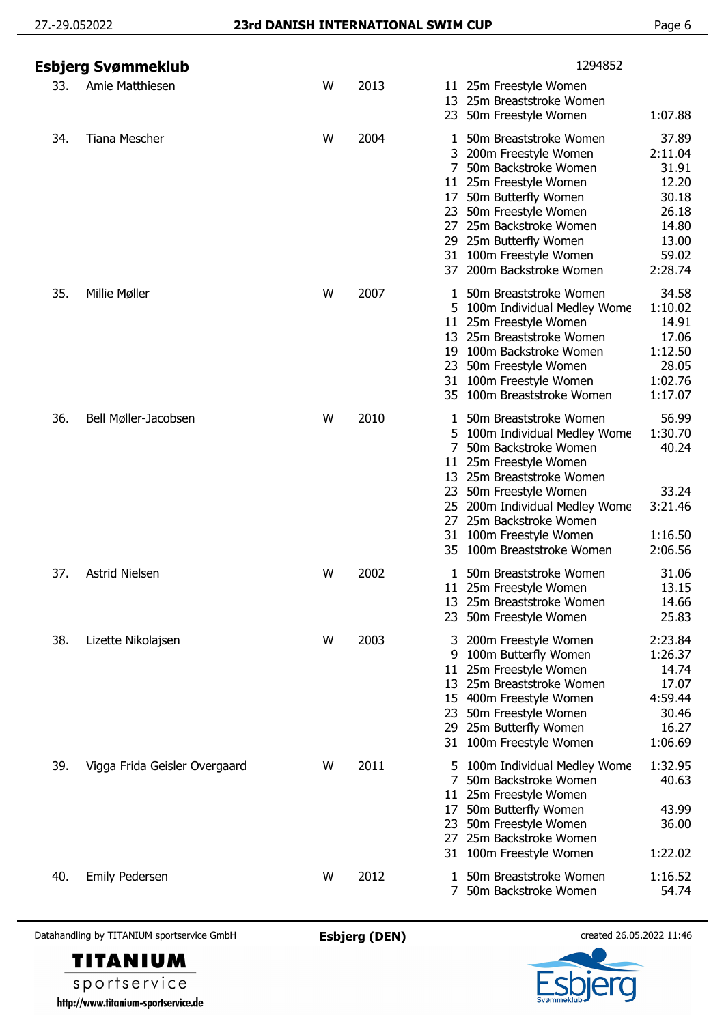|     | Esbjerg Svømmeklub            |   |      | 1294852                                                                                                                                                                                                                                                                                                                                                                                    |
|-----|-------------------------------|---|------|--------------------------------------------------------------------------------------------------------------------------------------------------------------------------------------------------------------------------------------------------------------------------------------------------------------------------------------------------------------------------------------------|
| 33. | Amie Matthiesen               | W | 2013 | 11 25m Freestyle Women<br>25m Breaststroke Women<br>13<br>50m Freestyle Women<br>1:07.88<br>23.                                                                                                                                                                                                                                                                                            |
| 34. | Tiana Mescher                 | W | 2004 | 37.89<br>50m Breaststroke Women<br>1<br>2:11.04<br>3 200m Freestyle Women<br>50m Backstroke Women<br>31.91<br>7<br>12.20<br>11 25m Freestyle Women<br>30.18<br>50m Butterfly Women<br>17<br>26.18<br>23 50m Freestyle Women<br>25m Backstroke Women<br>14.80<br>27<br>29 25m Butterfly Women<br>13.00<br>59.02<br>100m Freestyle Women<br>31<br>2:28.74<br>200m Backstroke Women<br>37     |
| 35. | Millie Møller                 | W | 2007 | 34.58<br>50m Breaststroke Women<br>100m Individual Medley Wome<br>1:10.02<br>14.91<br>25m Freestyle Women<br>11 <sup>1</sup><br>25m Breaststroke Women<br>17.06<br>13<br>1:12.50<br>100m Backstroke Women<br>19<br>28.05<br>50m Freestyle Women<br>23<br>1:02.76<br>31 100m Freestyle Women<br>100m Breaststroke Women<br>1:17.07                                                          |
| 36. | Bell Møller-Jacobsen          | W | 2010 | 56.99<br>50m Breaststroke Women<br>1<br>1:30.70<br>100m Individual Medley Wome<br>5.<br>40.24<br>7<br>50m Backstroke Women<br>25m Freestyle Women<br>11<br>13 25m Breaststroke Women<br>33.24<br>50m Freestyle Women<br>23<br>3:21.46<br>25 200m Individual Medley Wome<br>25m Backstroke Women<br>27<br>100m Freestyle Women<br>1:16.50<br>31<br>100m Breaststroke Women<br>2:06.56<br>35 |
| 37. | <b>Astrid Nielsen</b>         | W | 2002 | 31.06<br>50m Breaststroke Women<br>1<br>13.15<br>11 25m Freestyle Women<br>13 25m Breaststroke Women<br>14.66<br>25.83<br>50m Freestyle Women<br>23                                                                                                                                                                                                                                        |
| 38. | Lizette Nikolajsen            | W | 2003 | 2:23.84<br>200m Freestyle Women<br>3.<br>1:26.37<br>9 100m Butterfly Women<br>25m Freestyle Women<br>14.74<br>11<br>13 25m Breaststroke Women<br>17.07<br>4:59.44<br>15 400m Freestyle Women<br>30.46<br>23 50m Freestyle Women<br>29 25m Butterfly Women<br>16.27<br>31 100m Freestyle Women<br>1:06.69                                                                                   |
| 39. | Vigga Frida Geisler Overgaard | W | 2011 | 1:32.95<br>100m Individual Medley Wome<br>5.<br>50m Backstroke Women<br>40.63<br>25m Freestyle Women<br>11<br>50m Butterfly Women<br>43.99<br>17<br>50m Freestyle Women<br>36.00<br>23<br>25m Backstroke Women<br>27<br>1:22.02<br>100m Freestyle Women<br>31                                                                                                                              |
| 40. | Emily Pedersen                | W | 2012 | 1 50m Breaststroke Women<br>1:16.52<br>7 50m Backstroke Women<br>54.74                                                                                                                                                                                                                                                                                                                     |



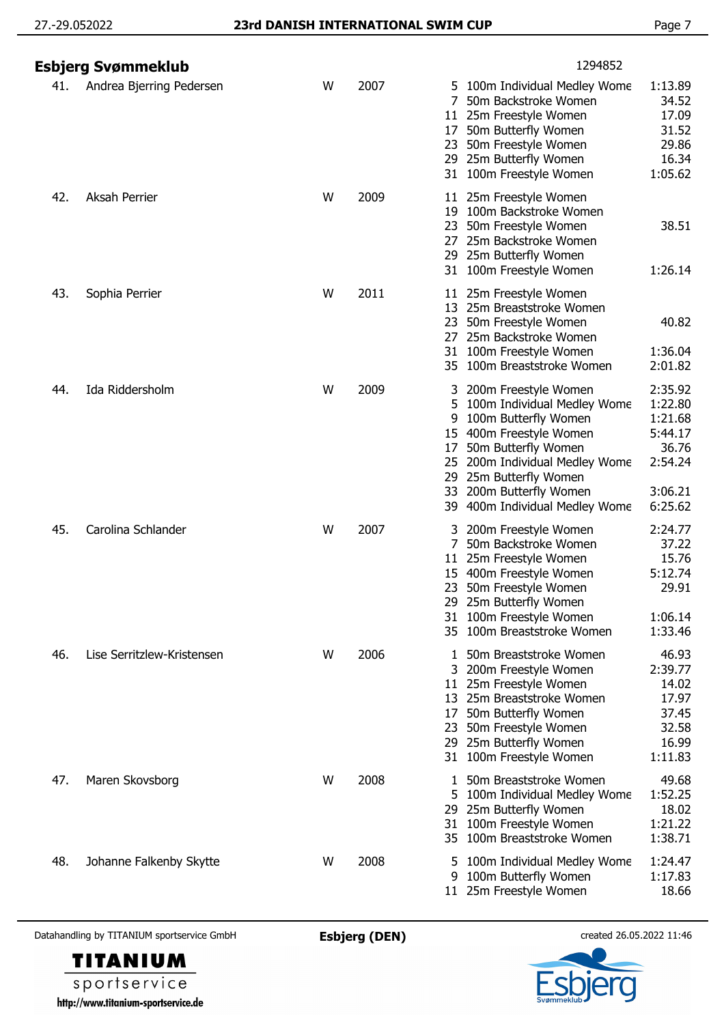|     | Esbjerg Svømmeklub         |   |      | 1294852                                                                                                                                                                                                                                                                              |                                                                                    |
|-----|----------------------------|---|------|--------------------------------------------------------------------------------------------------------------------------------------------------------------------------------------------------------------------------------------------------------------------------------------|------------------------------------------------------------------------------------|
| 41. | Andrea Bjerring Pedersen   | W | 2007 | 100m Individual Medley Wome<br>5.<br>50m Backstroke Women<br>25m Freestyle Women<br>11<br>50m Butterfly Women<br>17<br>23<br>50m Freestyle Women<br>29 25m Butterfly Women<br>100m Freestyle Women<br>31                                                                             | 1:13.89<br>34.52<br>17.09<br>31.52<br>29.86<br>16.34<br>1:05.62                    |
| 42. | <b>Aksah Perrier</b>       | W | 2009 | 11 25m Freestyle Women<br>100m Backstroke Women<br>19<br>50m Freestyle Women<br>23<br>25m Backstroke Women<br>27<br>29 25m Butterfly Women<br>31 100m Freestyle Women                                                                                                                | 38.51<br>1:26.14                                                                   |
| 43. | Sophia Perrier             | W | 2011 | 25m Freestyle Women<br>11.<br>25m Breaststroke Women<br>13<br>50m Freestyle Women<br>23<br>25m Backstroke Women<br>27.<br>100m Freestyle Women<br>31<br>100m Breaststroke Women<br>35                                                                                                | 40.82<br>1:36.04<br>2:01.82                                                        |
| 44. | Ida Riddersholm            | W | 2009 | 200m Freestyle Women<br>3<br>5<br>100m Individual Medley Wome<br>100m Butterfly Women<br>9<br>15 400m Freestyle Women<br>50m Butterfly Women<br>17<br>25<br>200m Individual Medley Wome<br>25m Butterfly Women<br>29<br>200m Butterfly Women<br>33<br>39 400m Individual Medley Wome | 2:35.92<br>1:22.80<br>1:21.68<br>5:44.17<br>36.76<br>2:54.24<br>3:06.21<br>6:25.62 |
| 45. | Carolina Schlander         | W | 2007 | 200m Freestyle Women<br>3.<br>7<br>50m Backstroke Women<br>25m Freestyle Women<br>11<br>400m Freestyle Women<br>15<br>50m Freestyle Women<br>23<br>29 25m Butterfly Women<br>100m Freestyle Women<br>31<br>35 100m Breaststroke Women                                                | 2:24.77<br>37.22<br>15.76<br>5:12.74<br>29.91<br>1:06.14<br>1:33.46                |
| 46. | Lise Serritzlew-Kristensen | W | 2006 | 50m Breaststroke Women<br>3 200m Freestyle Women<br>25m Freestyle Women<br>11<br>13 25m Breaststroke Women<br>50m Butterfly Women<br>17<br>23 50m Freestyle Women<br>29 25m Butterfly Women<br>100m Freestyle Women<br>31                                                            | 46.93<br>2:39.77<br>14.02<br>17.97<br>37.45<br>32.58<br>16.99<br>1:11.83           |
| 47. | Maren Skovsborg            | W | 2008 | 50m Breaststroke Women<br>1<br>100m Individual Medley Wome<br>5<br>25m Butterfly Women<br>29.<br>100m Freestyle Women<br>31<br>100m Breaststroke Women<br>35                                                                                                                         | 49.68<br>1:52.25<br>18.02<br>1:21.22<br>1:38.71                                    |
| 48. | Johanne Falkenby Skytte    | W | 2008 | 5 100m Individual Medley Wome<br>100m Butterfly Women<br>9<br>11 25m Freestyle Women                                                                                                                                                                                                 | 1:24.47<br>1:17.83<br>18.66                                                        |



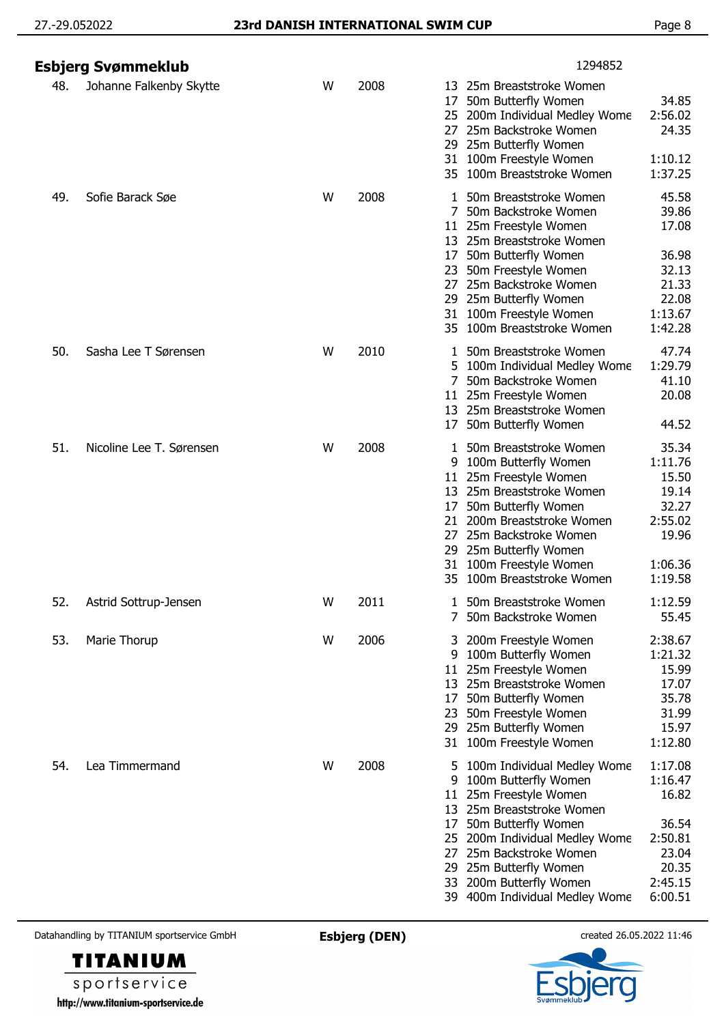|     | Esbjerg Svømmeklub       |   |      | 1294852                                                                                                                                                                                                                                                                                                                                                                                                                   |
|-----|--------------------------|---|------|---------------------------------------------------------------------------------------------------------------------------------------------------------------------------------------------------------------------------------------------------------------------------------------------------------------------------------------------------------------------------------------------------------------------------|
| 48. | Johanne Falkenby Skytte  | W | 2008 | 13 25m Breaststroke Women<br>50m Butterfly Women<br>34.85<br>17<br>2:56.02<br>25 200m Individual Medley Wome<br>24.35<br>25m Backstroke Women<br>27<br>29 25m Butterfly Women<br>1:10.12<br>100m Freestyle Women<br>31                                                                                                                                                                                                    |
| 49. | Sofie Barack Søe         | W | 2008 | 35 100m Breaststroke Women<br>1:37.25<br>45.58<br>50m Breaststroke Women<br>1.<br>39.86<br>7<br>50m Backstroke Women<br>17.08<br>11 25m Freestyle Women<br>13 25m Breaststroke Women<br>50m Butterfly Women<br>36.98<br>17<br>23 50m Freestyle Women<br>32.13<br>21.33<br>25m Backstroke Women<br>27<br>29 25m Butterfly Women<br>22.08<br>31 100m Freestyle Women<br>1:13.67<br>1:42.28<br>100m Breaststroke Women<br>35 |
| 50. | Sasha Lee T Sørensen     | W | 2010 | 47.74<br>50m Breaststroke Women<br>1:29.79<br>100m Individual Medley Wome<br>5.<br>41.10<br>7 50m Backstroke Women<br>25m Freestyle Women<br>20.08<br>11<br>25m Breaststroke Women<br>13<br>50m Butterfly Women<br>44.52<br>17                                                                                                                                                                                            |
| 51. | Nicoline Lee T. Sørensen | W | 2008 | 50m Breaststroke Women<br>35.34<br>1<br>100m Butterfly Women<br>1:11.76<br>9<br>25m Freestyle Women<br>15.50<br>11<br>13 25m Breaststroke Women<br>19.14<br>50m Butterfly Women<br>32.27<br>17<br>2:55.02<br>200m Breaststroke Women<br>21<br>19.96<br>27<br>25m Backstroke Women<br>29 25m Butterfly Women<br>100m Freestyle Women<br>31<br>1:06.36<br>100m Breaststroke Women<br>1:19.58                                |
| 52. | Astrid Sottrup-Jensen    | W | 2011 | 50m Breaststroke Women<br>1:12.59<br>55.45<br>50m Backstroke Women                                                                                                                                                                                                                                                                                                                                                        |
| 53. | Marie Thorup             | W | 2006 | 2:38.67<br>200m Freestyle Women<br>3.<br>1:21.32<br>100m Butterfly Women<br>9<br>25m Freestyle Women<br>15.99<br>11<br>17.07<br>13 25m Breaststroke Women<br>35.78<br>50m Butterfly Women<br>17<br>31.99<br>50m Freestyle Women<br>23<br>15.97<br>29 25m Butterfly Women<br>100m Freestyle Women<br>1:12.80<br>31                                                                                                         |
| 54. | Lea Timmermand           | W | 2008 | 1:17.08<br>100m Individual Medley Wome<br>5<br>1:16.47<br>100m Butterfly Women<br>9<br>25m Freestyle Women<br>16.82<br>11<br>13 25m Breaststroke Women<br>36.54<br>50m Butterfly Women<br>17<br>2:50.81<br>200m Individual Medley Wome<br>25<br>25m Backstroke Women<br>23.04<br>27<br>20.35<br>25m Butterfly Women<br>29<br>2:45.15<br>200m Butterfly Women<br>33<br>6:00.51<br>39 400m Individual Medley Wome           |



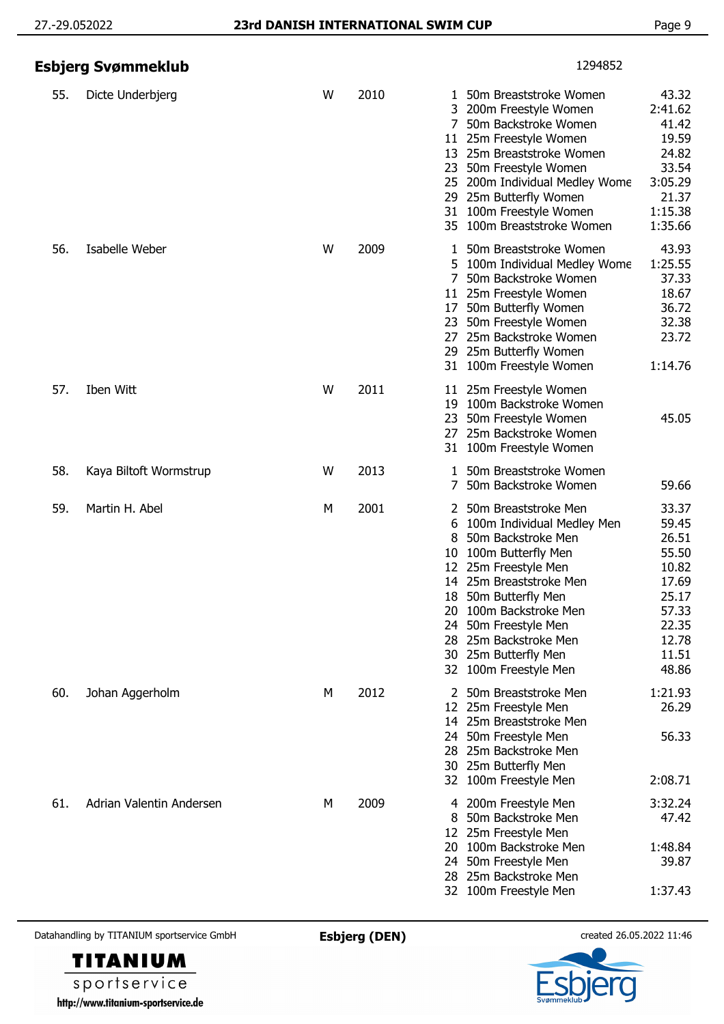|     | Esbjerg Svømmeklub       |   |      | 1294852                                                                                                                                                                                                                                                                                                                                                                                                                                        |
|-----|--------------------------|---|------|------------------------------------------------------------------------------------------------------------------------------------------------------------------------------------------------------------------------------------------------------------------------------------------------------------------------------------------------------------------------------------------------------------------------------------------------|
| 55. | Dicte Underbjerg         | W | 2010 | 43.32<br>50m Breaststroke Women<br>1<br>2:41.62<br>3 200m Freestyle Women<br>50m Backstroke Women<br>41.42<br>7<br>19.59<br>11 25m Freestyle Women<br>24.82<br>13 25m Breaststroke Women<br>33.54<br>50m Freestyle Women<br>23<br>3:05.29<br>25 200m Individual Medley Wome<br>21.37<br>29 25m Butterfly Women<br>1:15.38<br>100m Freestyle Women<br>31<br>1:35.66<br>35 100m Breaststroke Women                                               |
| 56. | Isabelle Weber           | W | 2009 | 43.93<br>50m Breaststroke Women<br>1:25.55<br>5 100m Individual Medley Wome<br>37.33<br>7<br>50m Backstroke Women<br>18.67<br>11 25m Freestyle Women<br>36.72<br>17 50m Butterfly Women<br>32.38<br>23 50m Freestyle Women<br>23.72<br>25m Backstroke Women<br>27<br>29 25m Butterfly Women<br>31 100m Freestyle Women<br>1:14.76                                                                                                              |
| 57. | Iben Witt                | W | 2011 | 11 25m Freestyle Women<br>100m Backstroke Women<br>19<br>23<br>50m Freestyle Women<br>45.05<br>25m Backstroke Women<br>27<br>100m Freestyle Women<br>31                                                                                                                                                                                                                                                                                        |
| 58. | Kaya Biltoft Wormstrup   | W | 2013 | 1 50m Breaststroke Women<br>50m Backstroke Women<br>59.66<br>$7^{\circ}$                                                                                                                                                                                                                                                                                                                                                                       |
| 59. | Martin H. Abel           | M | 2001 | 33.37<br>2 50m Breaststroke Men<br>100m Individual Medley Men<br>59.45<br>6<br>26.51<br>50m Backstroke Men<br>8<br>55.50<br>100m Butterfly Men<br>10<br>10.82<br>12 25m Freestyle Men<br>17.69<br>14 25m Breaststroke Men<br>25.17<br>18 50m Butterfly Men<br>100m Backstroke Men<br>57.33<br>20.<br>22.35<br>50m Freestyle Men<br>24<br>25m Backstroke Men<br>12.78<br>28.<br>11.51<br>30 25m Butterfly Men<br>48.86<br>32 100m Freestyle Men |
| 60. | Johan Aggerholm          | М | 2012 | 50m Breaststroke Men<br>1:21.93<br>2<br>26.29<br>12 25m Freestyle Men<br>14 25m Breaststroke Men<br>24 50m Freestyle Men<br>56.33<br>28 25m Backstroke Men<br>30 25m Butterfly Men<br>2:08.71<br>32 100m Freestyle Men                                                                                                                                                                                                                         |
| 61. | Adrian Valentin Andersen | М | 2009 | 3:32.24<br>200m Freestyle Men<br>4<br>47.42<br>50m Backstroke Men<br>8<br>25m Freestyle Men<br>12<br>1:48.84<br>100m Backstroke Men<br>20<br>39.87<br>24 50m Freestyle Men<br>25m Backstroke Men<br>28.<br>1:37.43<br>32 100m Freestyle Men                                                                                                                                                                                                    |



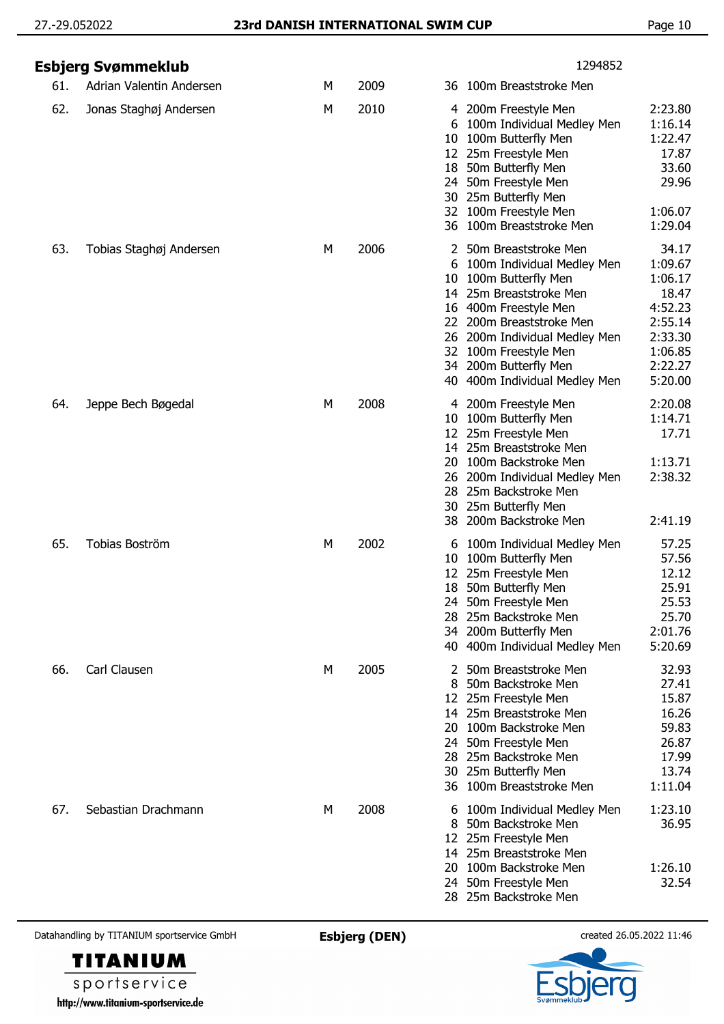|     | <b>Esbjerg Svømmeklub</b> |   |      | 1294852                                                                                                                                                                                                                                                                                   |                                                                                                        |
|-----|---------------------------|---|------|-------------------------------------------------------------------------------------------------------------------------------------------------------------------------------------------------------------------------------------------------------------------------------------------|--------------------------------------------------------------------------------------------------------|
| 61. | Adrian Valentin Andersen  | М | 2009 | 36 100m Breaststroke Men                                                                                                                                                                                                                                                                  |                                                                                                        |
| 62. | Jonas Staghøj Andersen    | M | 2010 | 4 200m Freestyle Men<br>6 100m Individual Medley Men<br>10 100m Butterfly Men<br>12 25m Freestyle Men<br>18 50m Butterfly Men<br>24 50m Freestyle Men<br>30 25m Butterfly Men<br>32 100m Freestyle Men<br>36 100m Breaststroke Men                                                        | 2:23.80<br>1:16.14<br>1:22.47<br>17.87<br>33.60<br>29.96<br>1:06.07<br>1:29.04                         |
| 63. | Tobias Staghøj Andersen   | М | 2006 | 2 50m Breaststroke Men<br>100m Individual Medley Men<br>6<br>100m Butterfly Men<br>10<br>14 25m Breaststroke Men<br>16 400m Freestyle Men<br>22 200m Breaststroke Men<br>26 200m Individual Medley Men<br>32 100m Freestyle Men<br>34 200m Butterfly Men<br>40 400m Individual Medley Men | 34.17<br>1:09.67<br>1:06.17<br>18.47<br>4:52.23<br>2:55.14<br>2:33.30<br>1:06.85<br>2:22.27<br>5:20.00 |
| 64. | Jeppe Bech Bøgedal        | M | 2008 | 4 200m Freestyle Men<br>10 100m Butterfly Men<br>12 25m Freestyle Men<br>14 25m Breaststroke Men<br>100m Backstroke Men<br>20<br>26 200m Individual Medley Men<br>28<br>25m Backstroke Men<br>30 25m Butterfly Men<br>38 200m Backstroke Men                                              | 2:20.08<br>1:14.71<br>17.71<br>1:13.71<br>2:38.32<br>2:41.19                                           |
| 65. | Tobias Boström            | M | 2002 | 6 100m Individual Medley Men<br>100m Butterfly Men<br>10<br>25m Freestyle Men<br>12<br>18 50m Butterfly Men<br>24 50m Freestyle Men<br>25m Backstroke Men<br>28.<br>34 200m Butterfly Men<br>40 400m Individual Medley Men                                                                | 57.25<br>57.56<br>12.12<br>25.91<br>25.53<br>25.70<br>2:01.76<br>5:20.69                               |
| 66. | Carl Clausen              | М | 2005 | 50m Breaststroke Men<br>2<br>50m Backstroke Men<br>8<br>12 25m Freestyle Men<br>14 25m Breaststroke Men<br>100m Backstroke Men<br>20<br>50m Freestyle Men<br>24<br>28 25m Backstroke Men<br>25m Butterfly Men<br>30<br>36 100m Breaststroke Men                                           | 32.93<br>27.41<br>15.87<br>16.26<br>59.83<br>26.87<br>17.99<br>13.74<br>1:11.04                        |
| 67. | Sebastian Drachmann       | М | 2008 | 6 100m Individual Medley Men<br>50m Backstroke Men<br>8<br>12 25m Freestyle Men<br>14 25m Breaststroke Men<br>20 100m Backstroke Men<br>24 50m Freestyle Men<br>28 25m Backstroke Men                                                                                                     | 1:23.10<br>36.95<br>1:26.10<br>32.54                                                                   |



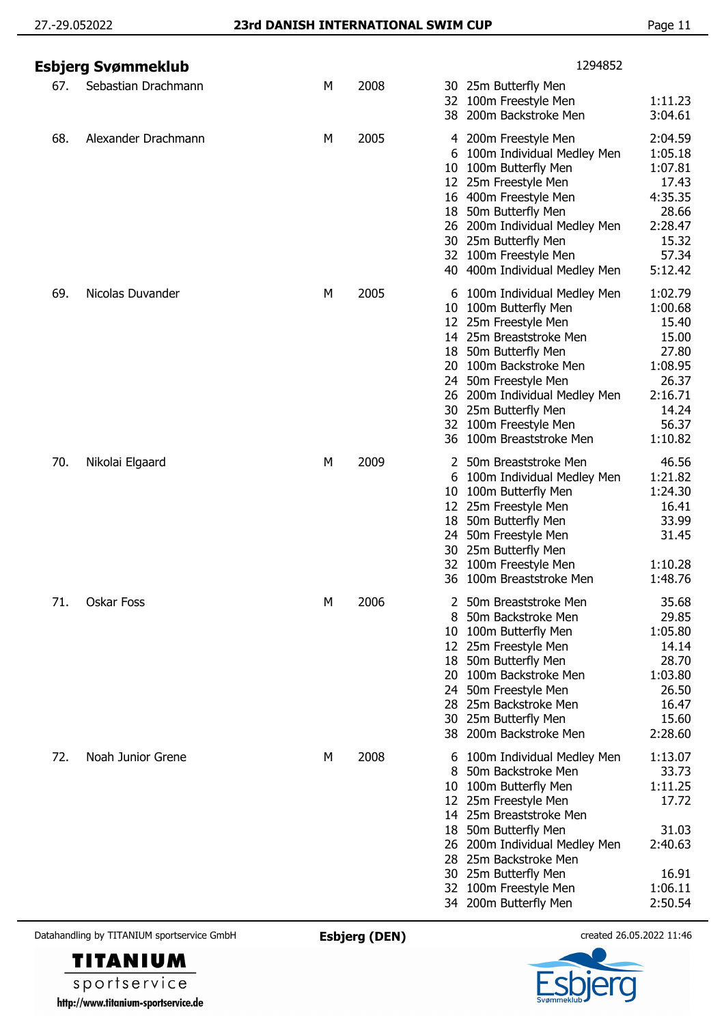|     | Esbjerg Svømmeklub  |   |      | 1294852                                                                                                                                                                                                                                                                                                                                                                                                                                     |
|-----|---------------------|---|------|---------------------------------------------------------------------------------------------------------------------------------------------------------------------------------------------------------------------------------------------------------------------------------------------------------------------------------------------------------------------------------------------------------------------------------------------|
| 67. | Sebastian Drachmann | М | 2008 | 30 25m Butterfly Men<br>100m Freestyle Men<br>1:11.23<br>32<br>200m Backstroke Men<br>3:04.61<br>38                                                                                                                                                                                                                                                                                                                                         |
| 68. | Alexander Drachmann | M | 2005 | 200m Freestyle Men<br>2:04.59<br>4<br>1:05.18<br>100m Individual Medley Men<br>b<br>100m Butterfly Men<br>1:07.81<br>10<br>25m Freestyle Men<br>17.43<br>12<br>400m Freestyle Men<br>4:35.35<br>16<br>50m Butterfly Men<br>28.66<br>18<br>200m Individual Medley Men<br>2:28.47<br>26<br>25m Butterfly Men<br>15.32<br>30<br>32 100m Freestyle Men<br>57.34<br>40 400m Individual Medley Men<br>5:12.42                                     |
| 69. | Nicolas Duvander    | М | 2005 | 1:02.79<br>100m Individual Medley Men<br>6<br>100m Butterfly Men<br>1:00.68<br>10<br>25m Freestyle Men<br>15.40<br>12<br>14 25m Breaststroke Men<br>15.00<br>50m Butterfly Men<br>27.80<br>18<br>100m Backstroke Men<br>1:08.95<br>20<br>26.37<br>50m Freestyle Men<br>24<br>2:16.71<br>200m Individual Medley Men<br>26<br>25m Butterfly Men<br>14.24<br>30<br>100m Freestyle Men<br>56.37<br>32<br>100m Breaststroke Men<br>1:10.82<br>36 |
| 70. | Nikolai Elgaard     | М | 2009 | 46.56<br>50m Breaststroke Men<br>1:21.82<br>100m Individual Medley Men<br>6<br>1:24.30<br>100m Butterfly Men<br>10<br>16.41<br>12 25m Freestyle Men<br>50m Butterfly Men<br>33.99<br>18<br>50m Freestyle Men<br>31.45<br>24<br>30 25m Butterfly Men<br>100m Freestyle Men<br>1:10.28<br>32<br>36 100m Breaststroke Men<br>1:48.76                                                                                                           |
| 71. | Oskar Foss          | М | 2006 | 50m Breaststroke Men<br>35.68<br>50m Backstroke Men<br>29.85<br>1:05.80<br>100m Butterfly Men<br>10<br>14.14<br>12 25m Freestyle Men<br>28.70<br>50m Butterfly Men<br>18<br>1:03.80<br>100m Backstroke Men<br>20<br>26.50<br>50m Freestyle Men<br>24<br>16.47<br>25m Backstroke Men<br>28<br>15.60<br>30 25m Butterfly Men<br>2:28.60<br>200m Backstroke Men<br>38                                                                          |
| 72. | Noah Junior Grene   | M | 2008 | 1:13.07<br>100m Individual Medley Men<br>33.73<br>50m Backstroke Men<br>8<br>1:11.25<br>100m Butterfly Men<br>10<br>17.72<br>25m Freestyle Men<br>12<br>14 25m Breaststroke Men<br>31.03<br>50m Butterfly Men<br>18<br>2:40.63<br>200m Individual Medley Men<br>26<br>25m Backstroke Men<br>28<br>16.91<br>30 25m Butterfly Men<br>1:06.11<br>100m Freestyle Men<br>32<br>2:50.54<br>34 200m Butterfly Men                                  |

**TITANIUM** sportservice http://www.titanium-sportservice.de

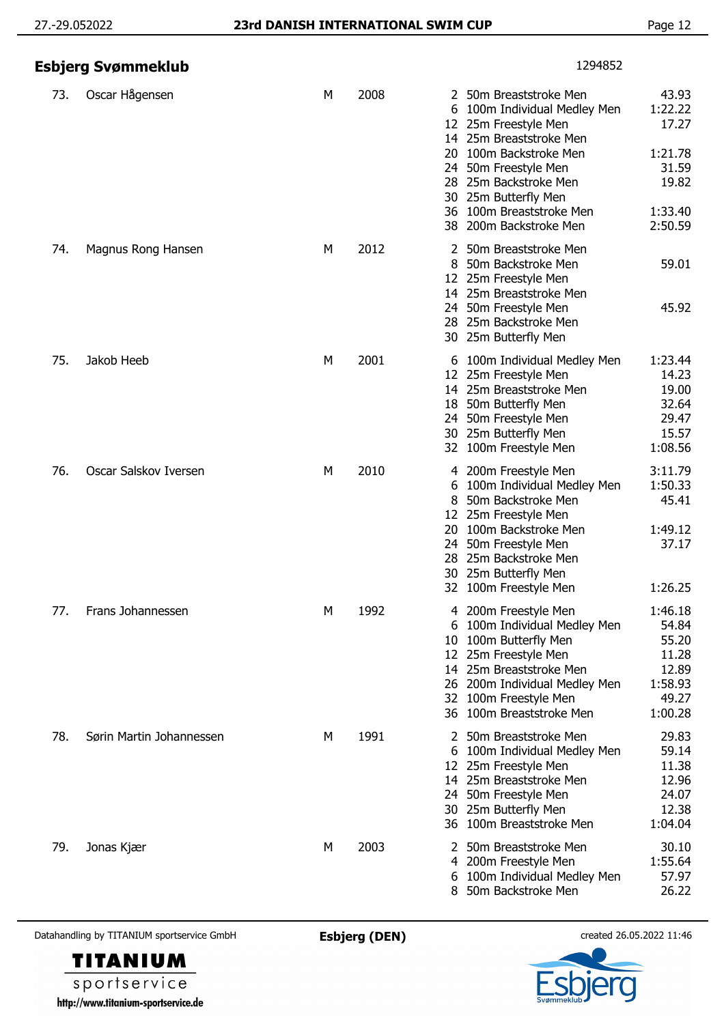|     | Esbjerg Svømmeklub       |   |      | 1294852                                                                                                                                                                                                                                                                                                                                            |
|-----|--------------------------|---|------|----------------------------------------------------------------------------------------------------------------------------------------------------------------------------------------------------------------------------------------------------------------------------------------------------------------------------------------------------|
| 73. | Oscar Hågensen           | М | 2008 | 43.93<br>2 50m Breaststroke Men<br>1:22.22<br>6 100m Individual Medley Men<br>17.27<br>12 25m Freestyle Men<br>14 25m Breaststroke Men<br>20 100m Backstroke Men<br>1:21.78<br>31.59<br>24 50m Freestyle Men<br>28 25m Backstroke Men<br>19.82<br>30 25m Butterfly Men<br>36 100m Breaststroke Men<br>1:33.40<br>2:50.59<br>38 200m Backstroke Men |
| 74. | Magnus Rong Hansen       | М | 2012 | 50m Breaststroke Men<br>2<br>59.01<br>8<br>50m Backstroke Men<br>12 25m Freestyle Men<br>14 25m Breaststroke Men<br>24 50m Freestyle Men<br>45.92<br>28 25m Backstroke Men<br>30 25m Butterfly Men                                                                                                                                                 |
| 75. | Jakob Heeb               | М | 2001 | 1:23.44<br>6 100m Individual Medley Men<br>14.23<br>25m Freestyle Men<br>12<br>19.00<br>14 25m Breaststroke Men<br>32.64<br>18 50m Butterfly Men<br>29.47<br>50m Freestyle Men<br>24.<br>15.57<br>30 25m Butterfly Men<br>1:08.56<br>32 100m Freestyle Men                                                                                         |
| 76. | Oscar Salskov Iversen    | М | 2010 | 3:11.79<br>4 200m Freestyle Men<br>1:50.33<br>100m Individual Medley Men<br>6<br>50m Backstroke Men<br>45.41<br>8<br>25m Freestyle Men<br>12<br>20 100m Backstroke Men<br>1:49.12<br>37.17<br>24 50m Freestyle Men<br>28 25m Backstroke Men<br>30 25m Butterfly Men<br>1:26.25<br>32 100m Freestyle Men                                            |
| 77. | Frans Johannessen        | М | 1992 | 1:46.18<br>4 200m Freestyle Men<br>54.84<br>100m Individual Medley Men<br>6<br>55.20<br>100m Butterfly Men<br>10<br>11.28<br>12 25m Freestyle Men<br>14 25m Breaststroke Men<br>12.89<br>1:58.93<br>26 200m Individual Medley Men<br>49.27<br>32 100m Freestyle Men<br>36 100m Breaststroke Men<br>1:00.28                                         |
| 78. | Sørin Martin Johannessen | М | 1991 | 29.83<br>50m Breaststroke Men<br>59.14<br>6 100m Individual Medley Men<br>11.38<br>12 25m Freestyle Men<br>12.96<br>14 25m Breaststroke Men<br>24.07<br>24 50m Freestyle Men<br>12.38<br>30 25m Butterfly Men<br>36 100m Breaststroke Men<br>1:04.04                                                                                               |
| 79. | Jonas Kjær               | М | 2003 | 30.10<br>2 50m Breaststroke Men<br>1:55.64<br>200m Freestyle Men<br>4<br>57.97<br>6 100m Individual Medley Men<br>26.22<br>8 50m Backstroke Men                                                                                                                                                                                                    |



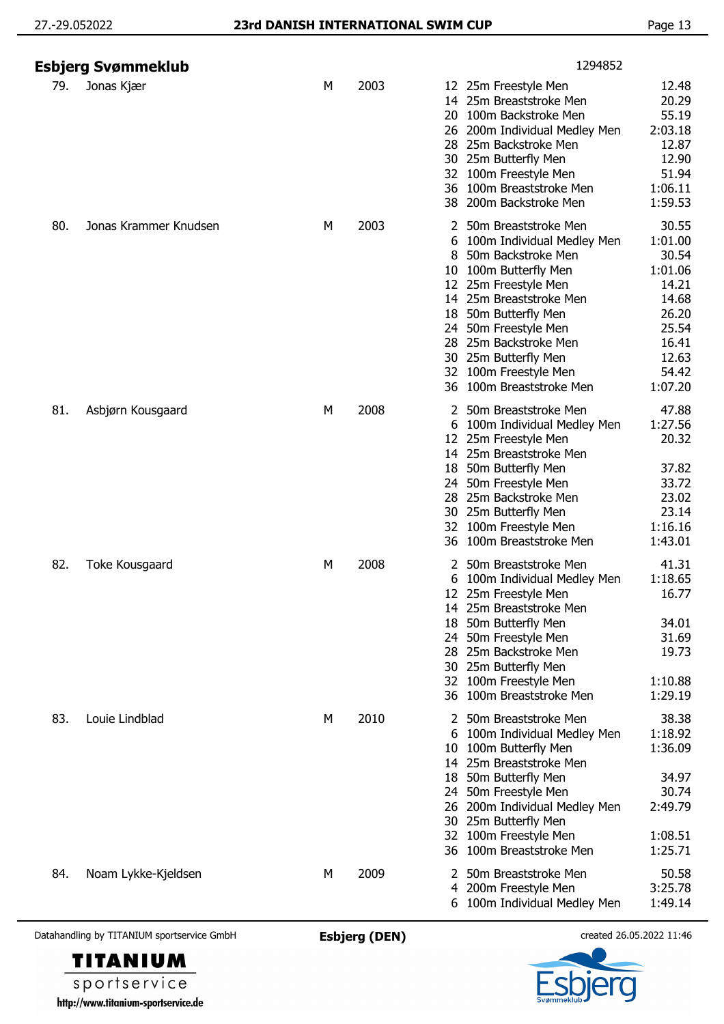|     | Esbjerg Svømmeklub    |   |      |                                                  | 1294852                                                                                                                                                                                                                                                                                  |                                                                                                                |
|-----|-----------------------|---|------|--------------------------------------------------|------------------------------------------------------------------------------------------------------------------------------------------------------------------------------------------------------------------------------------------------------------------------------------------|----------------------------------------------------------------------------------------------------------------|
| 79. | Jonas Kjær            | М | 2003 | 26                                               | 12 25m Freestyle Men<br>14 25m Breaststroke Men<br>20 100m Backstroke Men<br>200m Individual Medley Men<br>28 25m Backstroke Men<br>30 25m Butterfly Men<br>32 100m Freestyle Men<br>36 100m Breaststroke Men<br>38 200m Backstroke Men                                                  | 12.48<br>20.29<br>55.19<br>2:03.18<br>12.87<br>12.90<br>51.94<br>1:06.11<br>1:59.53                            |
| 80. | Jonas Krammer Knudsen | М | 2003 | 2<br>6<br>8<br>10<br>12<br>18<br>24.<br>28<br>30 | 50m Breaststroke Men<br>100m Individual Medley Men<br>50m Backstroke Men<br>100m Butterfly Men<br>25m Freestyle Men<br>14 25m Breaststroke Men<br>50m Butterfly Men<br>50m Freestyle Men<br>25m Backstroke Men<br>25m Butterfly Men<br>32 100m Freestyle Men<br>36 100m Breaststroke Men | 30.55<br>1:01.00<br>30.54<br>1:01.06<br>14.21<br>14.68<br>26.20<br>25.54<br>16.41<br>12.63<br>54.42<br>1:07.20 |
| 81. | Asbjørn Kousgaard     | М | 2008 | 24.<br>28.                                       | 2 50m Breaststroke Men<br>6 100m Individual Medley Men<br>12 25m Freestyle Men<br>14 25m Breaststroke Men<br>18 50m Butterfly Men<br>50m Freestyle Men<br>25m Backstroke Men<br>30 25m Butterfly Men<br>32 100m Freestyle Men<br>36 100m Breaststroke Men                                | 47.88<br>1:27.56<br>20.32<br>37.82<br>33.72<br>23.02<br>23.14<br>1:16.16<br>1:43.01                            |
| 82. | Toke Kousgaard        | М | 2008 | 6                                                | 2 50m Breaststroke Men<br>100m Individual Medley Men<br>12 25m Freestyle Men<br>14 25m Breaststroke Men<br>18 50m Butterfly Men<br>24 50m Freestyle Men<br>28 25m Backstroke Men<br>30 25m Butterfly Men<br>32 100m Freestyle Men<br>36 100m Breaststroke Men                            | 41.31<br>1:18.65<br>16.77<br>34.01<br>31.69<br>19.73<br>1:10.88<br>1:29.19                                     |
| 83. | Louie Lindblad        | М | 2010 | 2<br>32                                          | 50m Breaststroke Men<br>6 100m Individual Medley Men<br>10 100m Butterfly Men<br>14 25m Breaststroke Men<br>18 50m Butterfly Men<br>24 50m Freestyle Men<br>26 200m Individual Medley Men<br>30 25m Butterfly Men<br>100m Freestyle Men<br>36 100m Breaststroke Men                      | 38.38<br>1:18.92<br>1:36.09<br>34.97<br>30.74<br>2:49.79<br>1:08.51<br>1:25.71                                 |
| 84. | Noam Lykke-Kjeldsen   | М | 2009 | 4                                                | 50m Breaststroke Men<br>200m Freestyle Men<br>6 100m Individual Medley Men                                                                                                                                                                                                               | 50.58<br>3:25.78<br>1:49.14                                                                                    |



sportservice http://www.titanium-sportservice.de

**TITANIUM**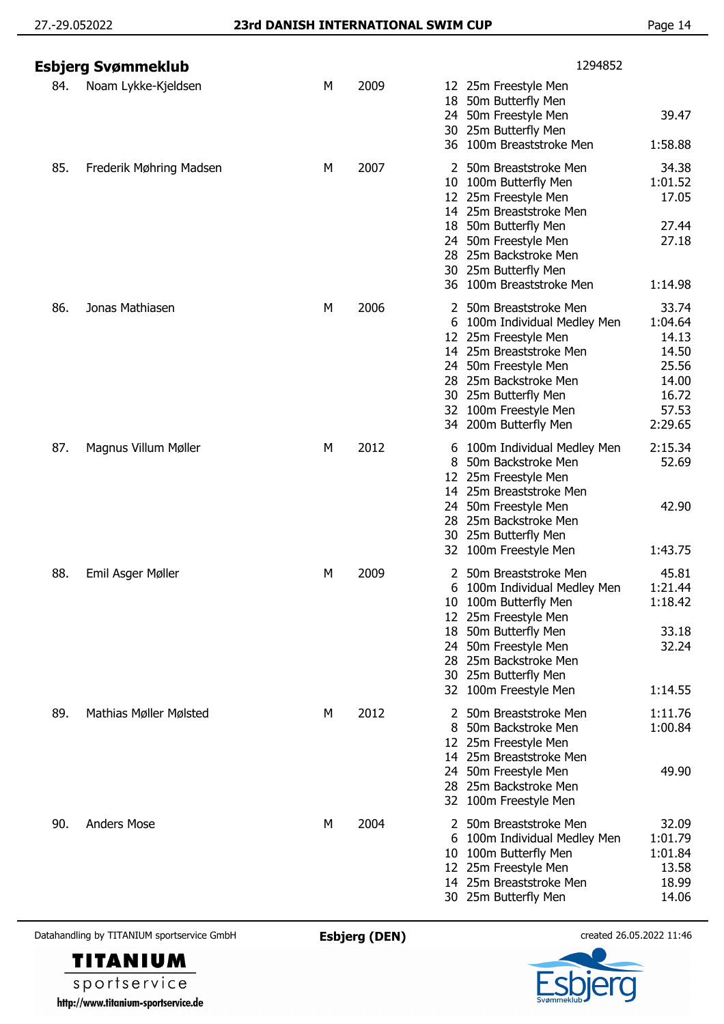|     | Esbjerg Svømmeklub      |   |      | 1294852                                                                                                                                                                                                                                        |                                                                                   |
|-----|-------------------------|---|------|------------------------------------------------------------------------------------------------------------------------------------------------------------------------------------------------------------------------------------------------|-----------------------------------------------------------------------------------|
| 84. | Noam Lykke-Kjeldsen     | М | 2009 | 12 25m Freestyle Men<br>18<br>50m Butterfly Men<br>24 50m Freestyle Men<br>30 25m Butterfly Men<br>36 100m Breaststroke Men                                                                                                                    | 39.47<br>1:58.88                                                                  |
| 85. | Frederik Møhring Madsen | M | 2007 | 2 50m Breaststroke Men<br>10 100m Butterfly Men<br>12 25m Freestyle Men<br>14 25m Breaststroke Men<br>18 50m Butterfly Men<br>50m Freestyle Men<br>24<br>25m Backstroke Men<br>28<br>30 25m Butterfly Men<br>36 100m Breaststroke Men          | 34.38<br>1:01.52<br>17.05<br>27.44<br>27.18<br>1:14.98                            |
| 86. | Jonas Mathiasen         | М | 2006 | 2 50m Breaststroke Men<br>100m Individual Medley Men<br>6<br>25m Freestyle Men<br>12<br>14 25m Breaststroke Men<br>50m Freestyle Men<br>24.<br>28 25m Backstroke Men<br>30 25m Butterfly Men<br>32 100m Freestyle Men<br>34 200m Butterfly Men | 33.74<br>1:04.64<br>14.13<br>14.50<br>25.56<br>14.00<br>16.72<br>57.53<br>2:29.65 |
| 87. | Magnus Villum Møller    | М | 2012 | 100m Individual Medley Men<br>6<br>50m Backstroke Men<br>8<br>12 25m Freestyle Men<br>14 25m Breaststroke Men<br>50m Freestyle Men<br>24.<br>28 25m Backstroke Men<br>30 25m Butterfly Men<br>100m Freestyle Men<br>32                         | 2:15.34<br>52.69<br>42.90<br>1:43.75                                              |
| 88. | Emil Asger Møller       | М | 2009 | 50m Breaststroke Men<br>2<br>100m Individual Medley Men<br>6<br>10 100m Butterfly Men<br>12 25m Freestyle Men<br>50m Butterfly Men<br>18<br>24 50m Freestyle Men<br>28 25m Backstroke Men<br>30 25m Butterfly Men<br>32 100m Freestyle Men     | 45.81<br>1:21.44<br>1:18.42<br>33.18<br>32.24<br>1:14.55                          |
| 89. | Mathias Møller Mølsted  | М | 2012 | 50m Breaststroke Men<br>50m Backstroke Men<br>12 25m Freestyle Men<br>14 25m Breaststroke Men<br>24 50m Freestyle Men<br>28 25m Backstroke Men<br>32 100m Freestyle Men                                                                        | 1:11.76<br>1:00.84<br>49.90                                                       |
| 90. | <b>Anders Mose</b>      | М | 2004 | 50m Breaststroke Men<br>2<br>100m Individual Medley Men<br>6<br>10 100m Butterfly Men<br>25m Freestyle Men<br>12<br>14 25m Breaststroke Men<br>30 25m Butterfly Men                                                                            | 32.09<br>1:01.79<br>1:01.84<br>13.58<br>18.99<br>14.06                            |

**TITANIUM** sportservice http://www.titanium-sportservice.de

er g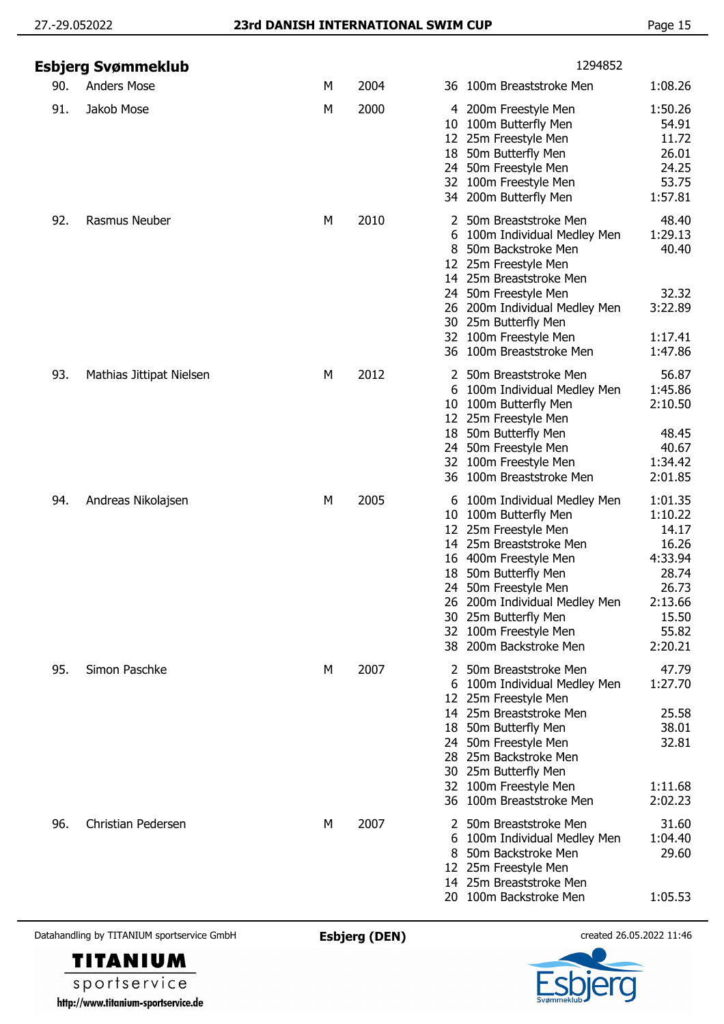|     | Esbjerg Svømmeklub       |   |      | 1294852                                                                                                                                                                                                                                                                                                                                                                                                                       |
|-----|--------------------------|---|------|-------------------------------------------------------------------------------------------------------------------------------------------------------------------------------------------------------------------------------------------------------------------------------------------------------------------------------------------------------------------------------------------------------------------------------|
| 90. | <b>Anders Mose</b>       | M | 2004 | 1:08.26<br>36 100m Breaststroke Men                                                                                                                                                                                                                                                                                                                                                                                           |
| 91. | Jakob Mose               | М | 2000 | 1:50.26<br>4 200m Freestyle Men<br>54.91<br>10 100m Butterfly Men<br>11.72<br>12 25m Freestyle Men<br>26.01<br>18 50m Butterfly Men<br>24.25<br>24 50m Freestyle Men<br>53.75<br>32 100m Freestyle Men<br>34 200m Butterfly Men<br>1:57.81                                                                                                                                                                                    |
| 92. | Rasmus Neuber            | М | 2010 | 2 50m Breaststroke Men<br>48.40<br>1:29.13<br>6 100m Individual Medley Men<br>50m Backstroke Men<br>40.40<br>12 25m Freestyle Men<br>14 25m Breaststroke Men<br>32.32<br>24 50m Freestyle Men<br>3:22.89<br>26 200m Individual Medley Men<br>30 25m Butterfly Men<br>32 100m Freestyle Men<br>1:17.41<br>36 100m Breaststroke Men<br>1:47.86                                                                                  |
| 93. | Mathias Jittipat Nielsen | М | 2012 | 56.87<br>2 50m Breaststroke Men<br>1:45.86<br>6 100m Individual Medley Men<br>2:10.50<br>10 100m Butterfly Men<br>12 25m Freestyle Men<br>18 50m Butterfly Men<br>48.45<br>24 50m Freestyle Men<br>40.67<br>32 100m Freestyle Men<br>1:34.42<br>36 100m Breaststroke Men<br>2:01.85                                                                                                                                           |
| 94. | Andreas Nikolajsen       | M | 2005 | 1:01.35<br>100m Individual Medley Men<br>6<br>1:10.22<br>100m Butterfly Men<br>10.<br>14.17<br>25m Freestyle Men<br>12<br>16.26<br>14 25m Breaststroke Men<br>4:33.94<br>16 400m Freestyle Men<br>28.74<br>18 50m Butterfly Men<br>26.73<br>24 50m Freestyle Men<br>26 200m Individual Medley Men<br>2:13.66<br>15.50<br>25m Butterfly Men<br>30<br>55.82<br>100m Freestyle Men<br>32<br>2:20.21<br>200m Backstroke Men<br>38 |
| 95. | Simon Paschke            | М | 2007 | 47.79<br>2 50m Breaststroke Men<br>1:27.70<br>100m Individual Medley Men<br>6<br>25m Freestyle Men<br>12.<br>14 25m Breaststroke Men<br>25.58<br>38.01<br>50m Butterfly Men<br>18.<br>32.81<br>50m Freestyle Men<br>24.<br>25m Backstroke Men<br>28.<br>25m Butterfly Men<br>30<br>32 100m Freestyle Men<br>1:11.68<br>36 100m Breaststroke Men<br>2:02.23                                                                    |
| 96. | Christian Pedersen       | М | 2007 | 31.60<br>2 50m Breaststroke Men<br>1:04.40<br>100m Individual Medley Men<br>6<br>50m Backstroke Men<br>29.60<br>8<br>12 25m Freestyle Men<br>14 25m Breaststroke Men<br>100m Backstroke Men<br>1:05.53<br>20.                                                                                                                                                                                                                 |

**TITANIUM** sportservice http://www.titanium-sportservice.de

FI Q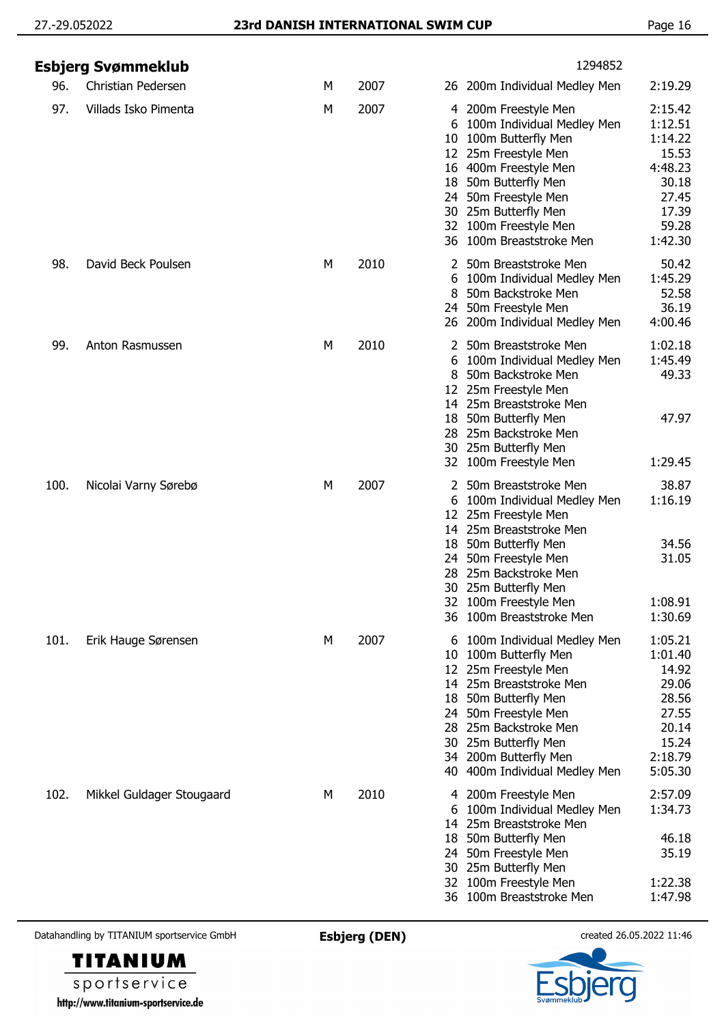|      | Esbjerg Svømmeklub        |   |      | 1294852                                                                                                                                                                                                                                                                                                                                                                   |
|------|---------------------------|---|------|---------------------------------------------------------------------------------------------------------------------------------------------------------------------------------------------------------------------------------------------------------------------------------------------------------------------------------------------------------------------------|
| 96.  | Christian Pedersen        | М | 2007 | 2:19.29<br>26 200m Individual Medley Men                                                                                                                                                                                                                                                                                                                                  |
| 97.  | Villads Isko Pimenta      | М | 2007 | 2:15.42<br>4 200m Freestyle Men<br>1:12.51<br>100m Individual Medley Men<br>6<br>1:14.22<br>100m Butterfly Men<br>10<br>15.53<br>12 25m Freestyle Men<br>4:48.23<br>16 400m Freestyle Men<br>30.18<br>18 50m Butterfly Men<br>27.45<br>50m Freestyle Men<br>24.<br>17.39<br>30 25m Butterfly Men<br>32 100m Freestyle Men<br>59.28<br>36 100m Breaststroke Men<br>1:42.30 |
| 98.  | David Beck Poulsen        | М | 2010 | 50.42<br>2 50m Breaststroke Men<br>1:45.29<br>100m Individual Medley Men<br>6<br>52.58<br>50m Backstroke Men<br>8<br>24 50m Freestyle Men<br>36.19<br>4:00.46<br>26 200m Individual Medley Men                                                                                                                                                                            |
| 99.  | Anton Rasmussen           | М | 2010 | 50m Breaststroke Men<br>1:02.18<br>2<br>1:45.49<br>100m Individual Medley Men<br>6<br>50m Backstroke Men<br>49.33<br>8<br>12 25m Freestyle Men<br>14 25m Breaststroke Men<br>47.97<br>50m Butterfly Men<br>18<br>28 25m Backstroke Men<br>30 25m Butterfly Men<br>32 100m Freestyle Men<br>1:29.45                                                                        |
| 100. | Nicolai Varny Sørebø      | М | 2007 | 38.87<br>50m Breaststroke Men<br>2<br>1:16.19<br>6 100m Individual Medley Men<br>12 25m Freestyle Men<br>14 25m Breaststroke Men<br>34.56<br>18 50m Butterfly Men<br>24 50m Freestyle Men<br>31.05<br>25m Backstroke Men<br>28<br>30 25m Butterfly Men<br>1:08.91<br>32 100m Freestyle Men<br>36 100m Breaststroke Men<br>1:30.69                                         |
| 101. | Erik Hauge Sørensen       | M | 2007 | 6 100m Individual Medley Men<br>1:05.21<br>1:01.40<br>10 100m Butterfly Men<br>12 25m Freestyle Men<br>14.92<br>29.06<br>14 25m Breaststroke Men<br>28.56<br>18 50m Butterfly Men<br>27.55<br>24 50m Freestyle Men<br>20.14<br>28 25m Backstroke Men<br>15.24<br>30 25m Butterfly Men<br>2:18.79<br>34 200m Butterfly Men<br>5:05.30<br>40 400m Individual Medley Men     |
| 102. | Mikkel Guldager Stougaard | M | 2010 | 2:57.09<br>4 200m Freestyle Men<br>1:34.73<br>100m Individual Medley Men<br>6<br>25m Breaststroke Men<br>14<br>46.18<br>50m Butterfly Men<br>18<br>35.19<br>50m Freestyle Men<br>24.<br>30 25m Butterfly Men<br>100m Freestyle Men<br>1:22.38<br>32<br>36 100m Breaststroke Men<br>1:47.98                                                                                |